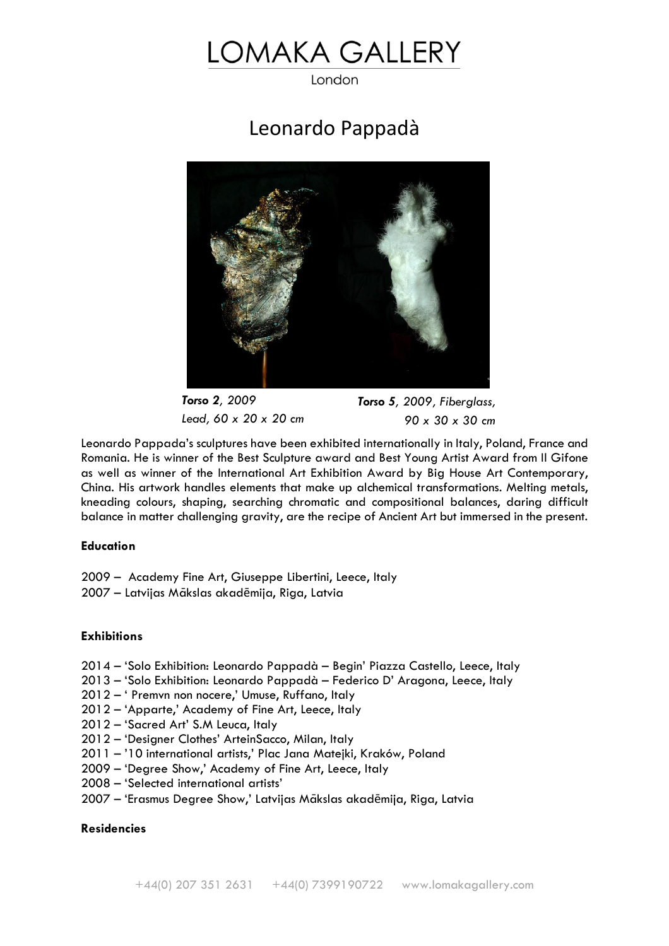# OMAKA GALLERY

London

# Leonardo Pappadà



*Torso 2, 2009 Lead, 60 x 20 x 20 cm* *Torso 5, 2009, Fiberglass, 90 x 30 x 30 cm*

Leonardo Pappada's sculptures have been exhibited internationally in Italy, Poland, France and Romania. He is winner of the Best Sculpture award and Best Young Artist Award from Il Gifone as well as winner of the International Art Exhibition Award by Big House Art Contemporary, China. His artwork handles elements that make up alchemical transformations. Melting metals, kneading colours, shaping, searching chromatic and compositional balances, daring difficult balance in matter challenging gravity, are the recipe of Ancient Art but immersed in the present.

#### **Education**

2009 – Academy Fine Art, Giuseppe Libertini, Leece, Italy 2007 – Latvijas Mākslas akadēmija, Riga, Latvia

## **Exhibitions**

- 2014 'Solo Exhibition: Leonardo Pappadà Begin' Piazza Castello, Leece, Italy
- 2013 'Solo Exhibition: Leonardo Pappadà Federico D' Aragona, Leece, Italy
- 2012 ' Premvn non nocere,' Umuse, Ruffano, Italy
- 2012 'Apparte,' Academy of Fine Art, Leece, Italy
- 2012 'Sacred Art' S.M Leuca, Italy
- 2012 'Designer Clothes' ArteinSacco, Milan, Italy
- 2011 '10 international artists,' Plac Jana Matejki, Kraków, Poland
- 2009 'Degree Show,' Academy of Fine Art, Leece, Italy
- 2008 'Selected international artists'
- 2007 'Erasmus Degree Show,' Latvijas Mākslas akadēmija, Riga, Latvia

### **Residencies**